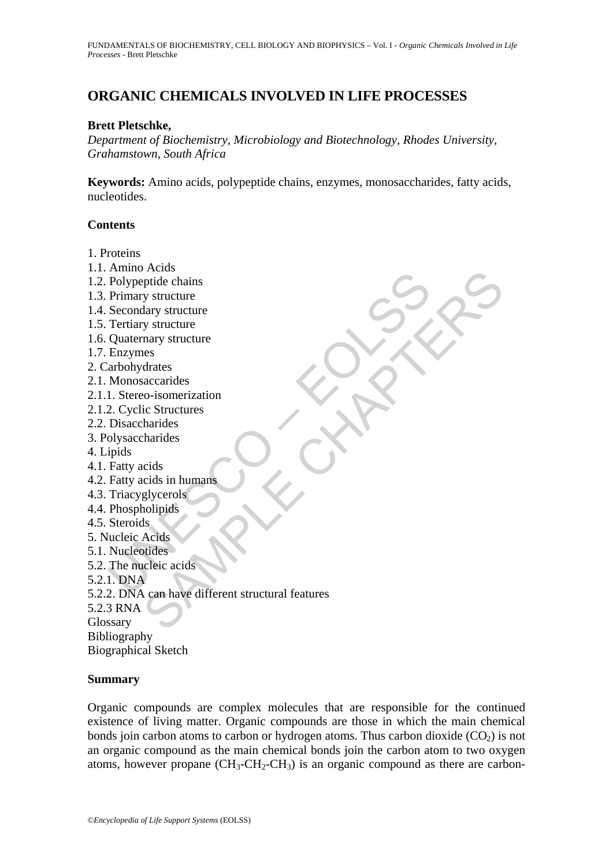# **ORGANIC CHEMICALS INVOLVED IN LIFE PROCESSES**

## **Brett Pletschke,**

*Department of Biochemistry, Microbiology and Biotechnology, Rhodes University, Grahamstown, South Africa* 

**Keywords:** Amino acids, polypeptide chains, enzymes, monosaccharides, fatty acids, nucleotides.

## **Contents**

- 1. Proteins
- 1.1. Amino Acids
- 1.2. Polypeptide chains
- 1.3. Primary structure
- 1.4. Secondary structure
- 1.5. Tertiary structure
- 1.6. Quaternary structure
- 1.7. Enzymes
- 2. Carbohydrates
- 2.1. Monosaccarides
- 2.1.1. Stereo-isomerization
- 2.1.2. Cyclic Structures
- 2.2. Disaccharides
- 3. Polysaccharides
- 4. Lipids
- 4.1. Fatty acids
- 4.2. Fatty acids in humans
- 4.3. Triacyglycerols
- 4.4. Phospholipids
- 4.5. Steroids
- 5. Nucleic Acids
- 5.1. Nucleotides
- 5.2. The nucleic acids
- 5.2.1. DNA
- Follypeptide chains<br>
Polypeptide chains<br>
Primary structure<br>
Recondary structure<br>
Tertiary structure<br>
Cuatemary structure<br>
Cuatemary structure<br>
Enzymes<br>
arbohydrates<br>
Monosaccarides<br>
I. Stereo-isomerization<br>
Disaccharides<br> Accounts<br>
any structure<br>
sy structure<br>
alary structure<br>
any structure<br>
mary structure<br>
mary structure<br>
that accounterization<br>
ic Structures<br>
co-isomerization<br>
ic Structures<br>
sharides<br>
glycerols<br>
slocides<br>
coles in humans<br> 5.2.2. DNA can have different structural features
- 5.2.3 RNA

Glossary

Bibliography

Biographical Sketch

## **Summary**

Organic compounds are complex molecules that are responsible for the continued existence of living matter. Organic compounds are those in which the main chemical bonds join carbon atoms to carbon or hydrogen atoms. Thus carbon dioxide  $(CO<sub>2</sub>)$  is not an organic compound as the main chemical bonds join the carbon atom to two oxygen atoms, however propane  $(CH_3-CH_2-CH_3)$  is an organic compound as there are carbon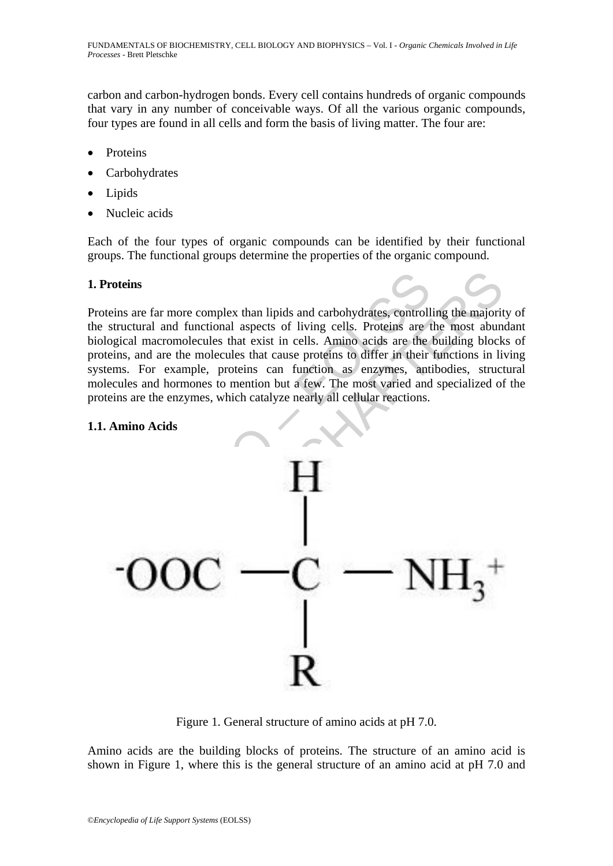carbon and carbon-hydrogen bonds. Every cell contains hundreds of organic compounds that vary in any number of conceivable ways. Of all the various organic compounds, four types are found in all cells and form the basis of living matter. The four are:

- **Proteins**
- **Carbohydrates**
- Lipids
- Nucleic acids

Each of the four types of organic compounds can be identified by their functional groups. The functional groups determine the properties of the organic compound.

## **1. Proteins**

Proteins are far more complex than lipids and carbohydrates, controlling the majority of the structural and functional aspects of living cells. Proteins are the most abundant biological macromolecules that exist in cells. Amino acids are the building blocks of proteins, and are the molecules that cause proteins to differ in their functions in living systems. For example, proteins can function as enzymes, antibodies, structural molecules and hormones to mention but a few. The most varied and specialized of the proteins are the enzymes, which catalyze nearly all cellular reactions.

#### **1.1. Amino Acids**



Figure 1. General structure of amino acids at pH 7.0.

Amino acids are the building blocks of proteins. The structure of an amino acid is shown in Figure 1, where this is the general structure of an amino acid at pH 7.0 and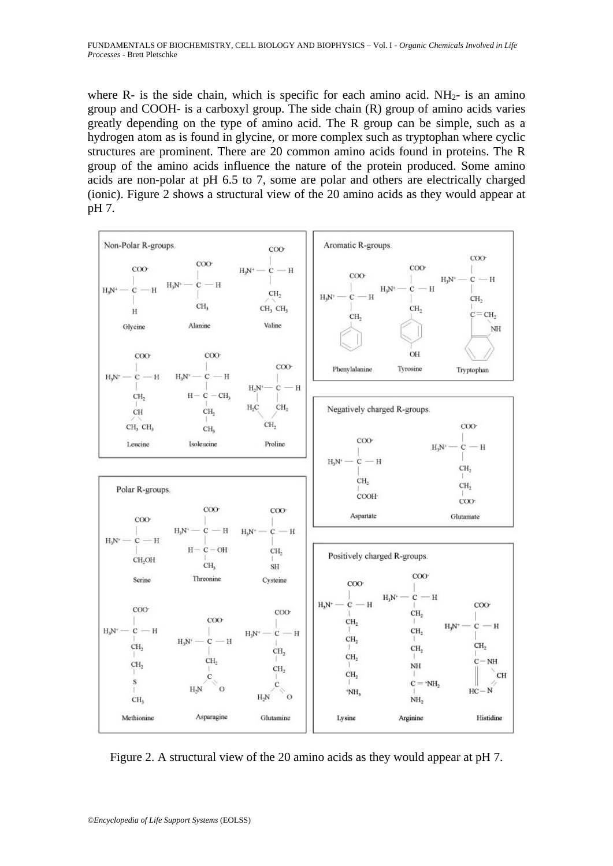where R- is the side chain, which is specific for each amino acid.  $NH<sub>2</sub>$ - is an amino group and COOH- is a carboxyl group. The side chain (R) group of amino acids varies greatly depending on the type of amino acid. The R group can be simple, such as a hydrogen atom as is found in glycine, or more complex such as tryptophan where cyclic structures are prominent. There are 20 common amino acids found in proteins. The R group of the amino acids influence the nature of the protein produced. Some amino acids are non-polar at pH 6.5 to 7, some are polar and others are electrically charged (ionic). Figure 2 shows a structural view of the 20 amino acids as they would appear at pH 7.



Figure 2. A structural view of the 20 amino acids as they would appear at pH 7.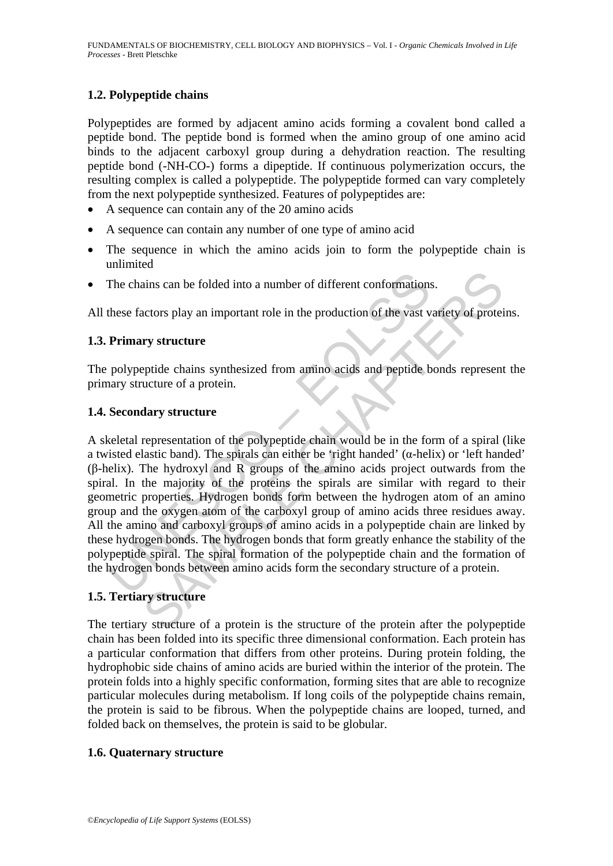## **1.2. Polypeptide chains**

Polypeptides are formed by adjacent amino acids forming a covalent bond called a peptide bond. The peptide bond is formed when the amino group of one amino acid binds to the adjacent carboxyl group during a dehydration reaction. The resulting peptide bond (-NH-CO-) forms a dipeptide. If continuous polymerization occurs, the resulting complex is called a polypeptide. The polypeptide formed can vary completely from the next polypeptide synthesized. Features of polypeptides are:

- A sequence can contain any of the 20 amino acids
- A sequence can contain any number of one type of amino acid
- The sequence in which the amino acids join to form the polypeptide chain is unlimited
- The chains can be folded into a number of different conformations.

All these factors play an important role in the production of the vast variety of proteins.

## **1.3. Primary structure**

The polypeptide chains synthesized from amino acids and peptide bonds represent the primary structure of a protein.

## **1.4. Secondary structure**

The chains can be folded into a number of different conformations<br>these factors play an important role in the production of the vast v<br>**Primary structure**<br>polypeptide chains synthesized from amino acids and peptide b<br>ary s ains can be folded into a number of different conformations.<br>
actors play an important role in the production of the vast variety of proteincy<br> **SAMPLE CHAPTERS**<br>
ary structure<br>
pride chains synthesized from animo acids an A skeletal representation of the polypeptide chain would be in the form of a spiral (like a twisted elastic band). The spirals can either be 'right handed'  $(\alpha$ -helix) or 'left handed' (β-helix). The hydroxyl and R groups of the amino acids project outwards from the spiral. In the majority of the proteins the spirals are similar with regard to their geometric properties. Hydrogen bonds form between the hydrogen atom of an amino group and the oxygen atom of the carboxyl group of amino acids three residues away. All the amino and carboxyl groups of amino acids in a polypeptide chain are linked by these hydrogen bonds. The hydrogen bonds that form greatly enhance the stability of the polypeptide spiral. The spiral formation of the polypeptide chain and the formation of the hydrogen bonds between amino acids form the secondary structure of a protein.

## **1.5. Tertiary structure**

The tertiary structure of a protein is the structure of the protein after the polypeptide chain has been folded into its specific three dimensional conformation. Each protein has a particular conformation that differs from other proteins. During protein folding, the hydrophobic side chains of amino acids are buried within the interior of the protein. The protein folds into a highly specific conformation, forming sites that are able to recognize particular molecules during metabolism. If long coils of the polypeptide chains remain, the protein is said to be fibrous. When the polypeptide chains are looped, turned, and folded back on themselves, the protein is said to be globular.

## **1.6. Quaternary structure**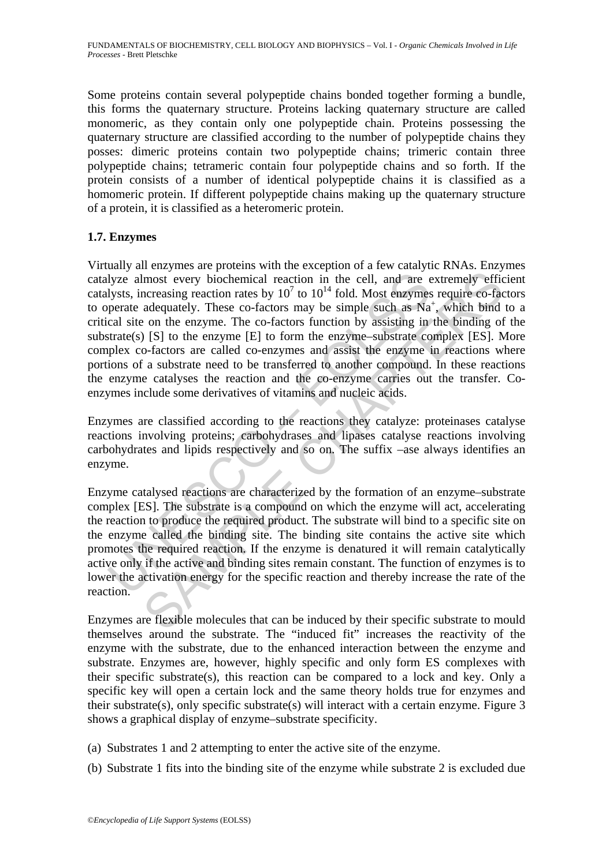Some proteins contain several polypeptide chains bonded together forming a bundle, this forms the quaternary structure. Proteins lacking quaternary structure are called monomeric, as they contain only one polypeptide chain. Proteins possessing the quaternary structure are classified according to the number of polypeptide chains they posses: dimeric proteins contain two polypeptide chains; trimeric contain three polypeptide chains; tetrameric contain four polypeptide chains and so forth. If the protein consists of a number of identical polypeptide chains it is classified as a homomeric protein. If different polypeptide chains making up the quaternary structure of a protein, it is classified as a heteromeric protein.

## **1.7. Enzymes**

lyze almost every biochemical reaction in the cell, and are elysts, increasing reaction rates by  $10^7$  to  $10^{14}$  fold. Most enzymes<br>perate adequately. These co-factors may be simple such as Na<br>cal site on the enzyme. T limost every biochemical reaction in the cell, and are extremely efficencessing reaction rates by  $10^7$  to  $10^{14}$  fold. Most enzymes require co-factors and parametely. These co-factors may be simple such as Na<sup>+</sup>, whic Virtually all enzymes are proteins with the exception of a few catalytic RNAs. Enzymes catalyze almost every biochemical reaction in the cell, and are extremely efficient catalysts, increasing reaction rates by  $10^7$  to  $10^{14}$  fold. Most enzymes require co-factors to operate adequately. These co-factors may be simple such as Na<sup>+</sup>, which bind to a critical site on the enzyme. The co-factors function by assisting in the binding of the substrate(s)  $[S]$  to the enzyme  $[E]$  to form the enzyme–substrate complex  $[ES]$ . More complex co-factors are called co-enzymes and assist the enzyme in reactions where portions of a substrate need to be transferred to another compound. In these reactions the enzyme catalyses the reaction and the co-enzyme carries out the transfer. Coenzymes include some derivatives of vitamins and nucleic acids.

Enzymes are classified according to the reactions they catalyze: proteinases catalyse reactions involving proteins; carbohydrases and lipases catalyse reactions involving carbohydrates and lipids respectively and so on. The suffix –ase always identifies an enzyme.

Enzyme catalysed reactions are characterized by the formation of an enzyme–substrate complex [ES]. The substrate is a compound on which the enzyme will act, accelerating the reaction to produce the required product. The substrate will bind to a specific site on the enzyme called the binding site. The binding site contains the active site which promotes the required reaction. If the enzyme is denatured it will remain catalytically active only if the active and binding sites remain constant. The function of enzymes is to lower the activation energy for the specific reaction and thereby increase the rate of the reaction.

Enzymes are flexible molecules that can be induced by their specific substrate to mould themselves around the substrate. The "induced fit" increases the reactivity of the enzyme with the substrate, due to the enhanced interaction between the enzyme and substrate. Enzymes are, however, highly specific and only form ES complexes with their specific substrate(s), this reaction can be compared to a lock and key. Only a specific key will open a certain lock and the same theory holds true for enzymes and their substrate(s), only specific substrate(s) will interact with a certain enzyme. Figure 3 shows a graphical display of enzyme–substrate specificity.

- (a) Substrates 1 and 2 attempting to enter the active site of the enzyme.
- (b) Substrate 1 fits into the binding site of the enzyme while substrate 2 is excluded due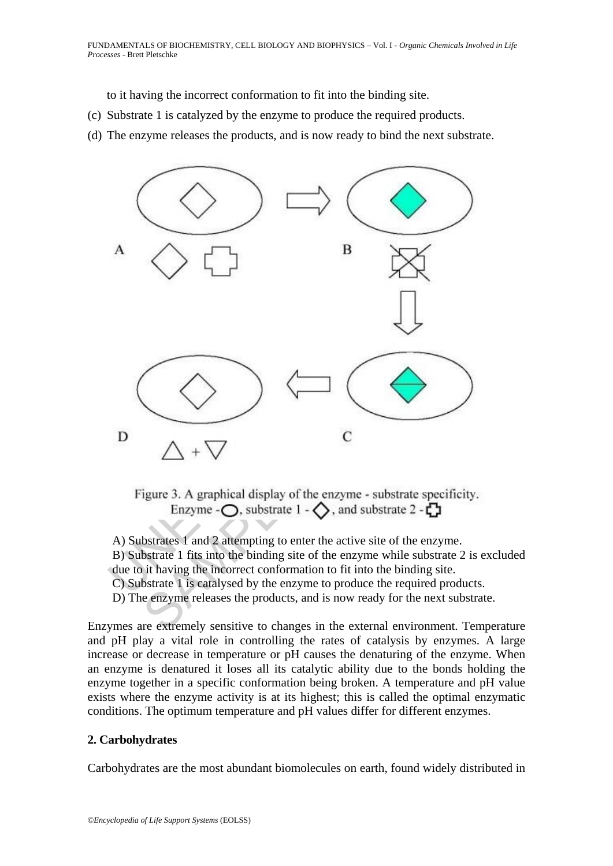to it having the incorrect conformation to fit into the binding site.

- (c) Substrate 1 is catalyzed by the enzyme to produce the required products.
- (d) The enzyme releases the products, and is now ready to bind the next substrate.



A) Substrates 1 and 2 attempting to enter the active site of the enzyme. B) Substrate 1 fits into the binding site of the enzyme while substrate 2 is excluded due to it having the incorrect conformation to fit into the binding site. C) Substrate 1 is catalysed by the enzyme to produce the required products. D) The enzyme releases the products, and is now ready for the next substrate.

Enzymes are extremely sensitive to changes in the external environment. Temperature and pH play a vital role in controlling the rates of catalysis by enzymes. A large increase or decrease in temperature or pH causes the denaturing of the enzyme. When an enzyme is denatured it loses all its catalytic ability due to the bonds holding the enzyme together in a specific conformation being broken. A temperature and pH value exists where the enzyme activity is at its highest; this is called the optimal enzymatic conditions. The optimum temperature and pH values differ for different enzymes.

## **2. Carbohydrates**

Carbohydrates are the most abundant biomolecules on earth, found widely distributed in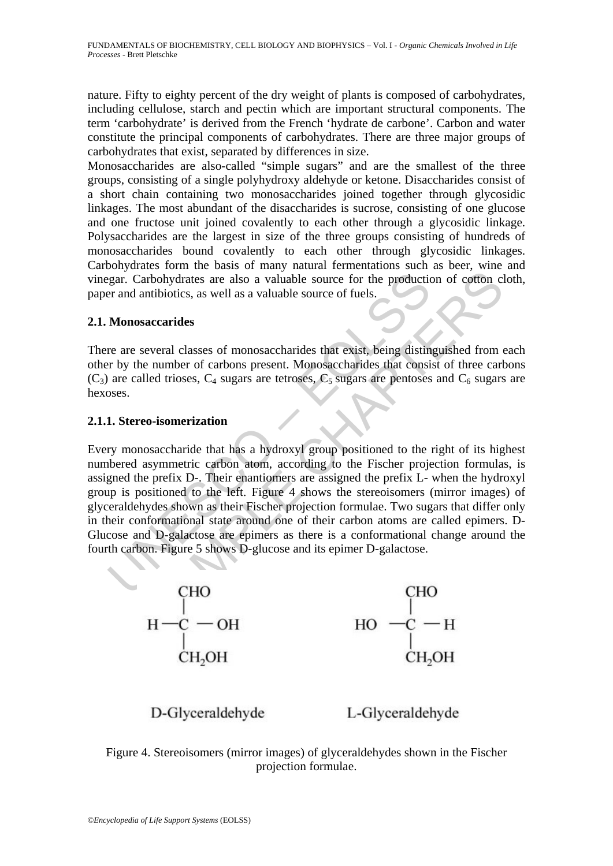nature. Fifty to eighty percent of the dry weight of plants is composed of carbohydrates, including cellulose, starch and pectin which are important structural components. The term 'carbohydrate' is derived from the French 'hydrate de carbone'. Carbon and water constitute the principal components of carbohydrates. There are three major groups of carbohydrates that exist, separated by differences in size.

Monosaccharides are also-called "simple sugars" and are the smallest of the three groups, consisting of a single polyhydroxy aldehyde or ketone. Disaccharides consist of a short chain containing two monosaccharides joined together through glycosidic linkages. The most abundant of the disaccharides is sucrose, consisting of one glucose and one fructose unit joined covalently to each other through a glycosidic linkage. Polysaccharides are the largest in size of the three groups consisting of hundreds of monosaccharides bound covalently to each other through glycosidic linkages. Carbohydrates form the basis of many natural fermentations such as beer, wine and vinegar. Carbohydrates are also a valuable source for the production of cotton cloth, paper and antibiotics, as well as a valuable source of fuels.

## **2.1. Monosaccarides**

There are several classes of monosaccharides that exist, being distinguished from each other by the number of carbons present. Monosaccharides that consist of three carbons  $(C_3)$  are called trioses,  $C_4$  sugars are tetroses,  $C_5$  sugars are pentoses and  $C_6$  sugars are hexoses.

## **2.1.1. Stereo-isomerization**

Example 1<br>
Example 1 as a valuable source for the production and antibiotics, as well as a valuable source of fuels.<br> **Monosaccarides**<br>
The are several classes of monosaccharides that exist, being distint<br>
The production o arbohydrates are also a valuable source for the production of cofton clumbiotics, as well as a valuable source for the production of cofton clumbiotics, as well as a valuable source of fuels.<br>
saccarides<br>
saccarides<br>
sacc Every monosaccharide that has a hydroxyl group positioned to the right of its highest numbered asymmetric carbon atom, according to the Fischer projection formulas, is assigned the prefix D-. Their enantiomers are assigned the prefix L- when the hydroxyl group is positioned to the left. Figure 4 shows the stereoisomers (mirror images) of glyceraldehydes shown as their Fischer projection formulae. Two sugars that differ only in their conformational state around one of their carbon atoms are called epimers. D-Glucose and D-galactose are epimers as there is a conformational change around the fourth carbon. Figure 5 shows D-glucose and its epimer D-galactose.



D-Glyceraldehyde

L-Glyceraldehyde

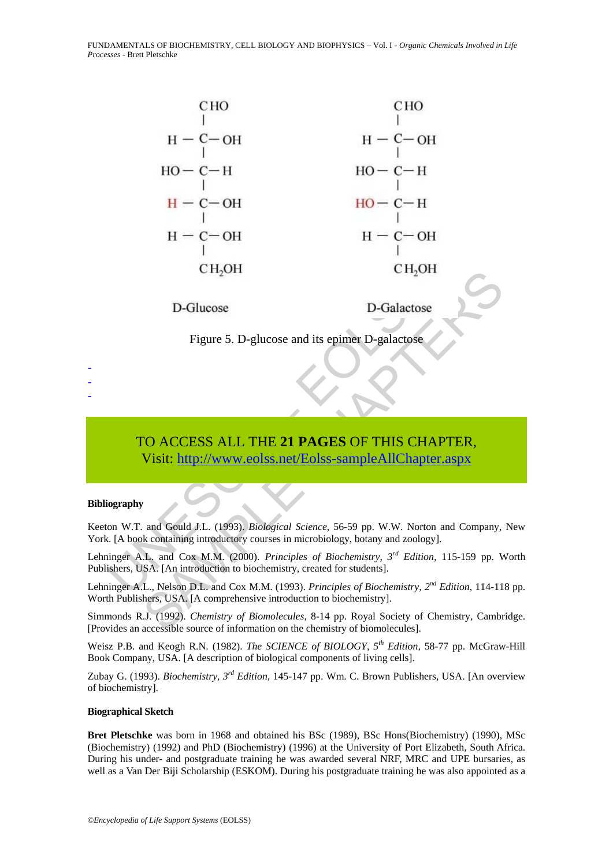FUNDAMENTALS OF BIOCHEMISTRY, CELL BIOLOGY AND BIOPHYSICS – Vol. I - *Organic Chemicals Involved in Life Processes* - Brett Pletschke



Figure 5. D-glucose and its epimer D-galactose

# TO ACCESS ALL THE **21 PAGES** OF THIS CHAPTER, Visit: http://www.eolss.net/Eolss-sampleAllChapter.aspx

#### **Bibliography**

- - -

Keeton W.T. and Gould J.L. (1993). *Biological Science*, 56-59 pp. W.W. Norton and Company, New York. [A book containing introductory courses in microbiology, botany and zoology].

Lehninger A.L. and Cox M.M. (2000). *Principles of Biochemistry, 3rd Edition,* 115-159 pp. Worth Publishers, USA. [An introduction to biochemistry, created for students].

Lehninger A.L., Nelson D.L. and Cox M.M. (1993). *Principles of Biochemistry, 2nd Edition,* 114-118 pp. Worth Publishers, USA. [A comprehensive introduction to biochemistry].

Simmonds R.J. (1992). *Chemistry of Biomolecules*, 8-14 pp. Royal Society of Chemistry, Cambridge. [Provides an accessible source of information on the chemistry of biomolecules].

Weisz P.B. and Keogh R.N. (1982). *The SCIENCE of BIOLOGY, 5th Edition*, 58-77 pp. McGraw-Hill Book Company, USA. [A description of biological components of living cells].

Zubay G. (1993). *Biochemistry, 3rd Edition*, 145-147 pp. Wm. C. Brown Publishers, USA. [An overview of biochemistry].

#### **Biographical Sketch**

**Bret Pletschke** was born in 1968 and obtained his BSc (1989), BSc Hons(Biochemistry) (1990), MSc (Biochemistry) (1992) and PhD (Biochemistry) (1996) at the University of Port Elizabeth, South Africa. During his under- and postgraduate training he was awarded several NRF, MRC and UPE bursaries, as well as a Van Der Biji Scholarship (ESKOM). During his postgraduate training he was also appointed as a